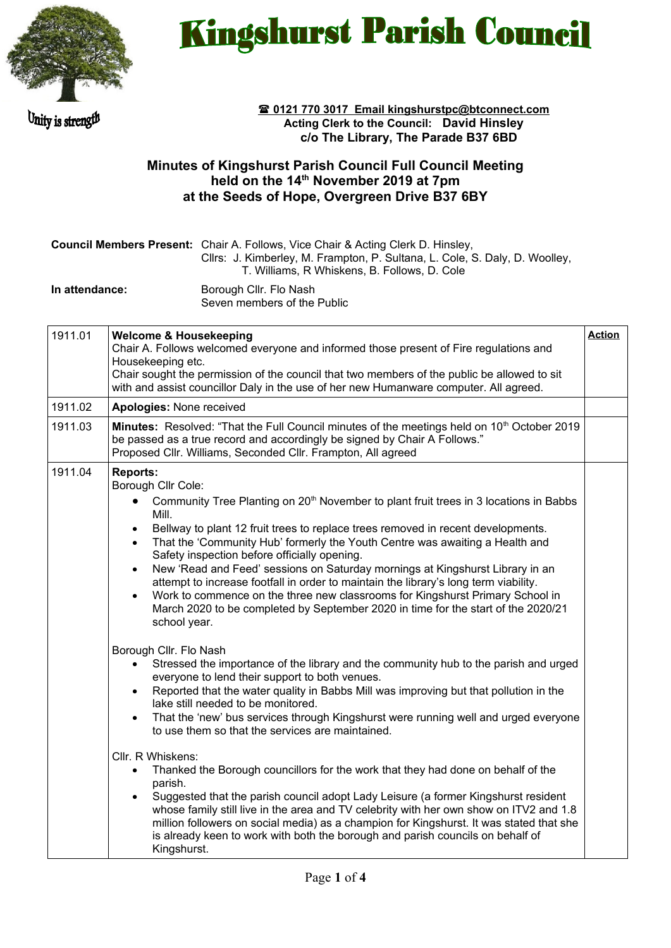

Unity is strength

## **Kingshurst Parish Council**

 **0121 770 3017 Email kingshurstpc@btconnect.com Acting Clerk to the Council: David Hinsley c/o The Library, The Parade B37 6BD** 

## **Minutes of Kingshurst Parish Council Full Council Meeting held on the 14th November 2019 at 7pm at the Seeds of Hope, Overgreen Drive B37 6BY**

|                | <b>Council Members Present:</b> Chair A. Follows, Vice Chair & Acting Clerk D. Hinsley,<br>Cllrs: J. Kimberley, M. Frampton, P. Sultana, L. Cole, S. Daly, D. Woolley,<br>T. Williams, R Whiskens, B. Follows, D. Cole |
|----------------|------------------------------------------------------------------------------------------------------------------------------------------------------------------------------------------------------------------------|
| In attendance: | Borough Cllr. Flo Nash<br>Seven members of the Public                                                                                                                                                                  |

| 1911.01 | <b>Welcome &amp; Housekeeping</b><br>Chair A. Follows welcomed everyone and informed those present of Fire regulations and<br>Housekeeping etc.<br>Chair sought the permission of the council that two members of the public be allowed to sit<br>with and assist councillor Daly in the use of her new Humanware computer. All agreed.                                                                                                                                                                                                                                                                                                                                                                                                                                                                                                                                                                                                                                                                                                                                                                                                                                                                                                                                                                                                                                                                                                                                                                                                                                                                                                                                                                                                                                                                   | <b>Action</b> |
|---------|-----------------------------------------------------------------------------------------------------------------------------------------------------------------------------------------------------------------------------------------------------------------------------------------------------------------------------------------------------------------------------------------------------------------------------------------------------------------------------------------------------------------------------------------------------------------------------------------------------------------------------------------------------------------------------------------------------------------------------------------------------------------------------------------------------------------------------------------------------------------------------------------------------------------------------------------------------------------------------------------------------------------------------------------------------------------------------------------------------------------------------------------------------------------------------------------------------------------------------------------------------------------------------------------------------------------------------------------------------------------------------------------------------------------------------------------------------------------------------------------------------------------------------------------------------------------------------------------------------------------------------------------------------------------------------------------------------------------------------------------------------------------------------------------------------------|---------------|
| 1911.02 | Apologies: None received                                                                                                                                                                                                                                                                                                                                                                                                                                                                                                                                                                                                                                                                                                                                                                                                                                                                                                                                                                                                                                                                                                                                                                                                                                                                                                                                                                                                                                                                                                                                                                                                                                                                                                                                                                                  |               |
| 1911.03 | Minutes: Resolved: "That the Full Council minutes of the meetings held on 10 <sup>th</sup> October 2019<br>be passed as a true record and accordingly be signed by Chair A Follows."<br>Proposed Cllr. Williams, Seconded Cllr. Frampton, All agreed                                                                                                                                                                                                                                                                                                                                                                                                                                                                                                                                                                                                                                                                                                                                                                                                                                                                                                                                                                                                                                                                                                                                                                                                                                                                                                                                                                                                                                                                                                                                                      |               |
| 1911.04 | <b>Reports:</b><br>Borough Cllr Cole:<br>Community Tree Planting on 20 <sup>th</sup> November to plant fruit trees in 3 locations in Babbs<br>$\bullet$<br>Mill.<br>Bellway to plant 12 fruit trees to replace trees removed in recent developments.<br>$\bullet$<br>That the 'Community Hub' formerly the Youth Centre was awaiting a Health and<br>$\bullet$<br>Safety inspection before officially opening.<br>New 'Read and Feed' sessions on Saturday mornings at Kingshurst Library in an<br>$\bullet$<br>attempt to increase footfall in order to maintain the library's long term viability.<br>Work to commence on the three new classrooms for Kingshurst Primary School in<br>$\bullet$<br>March 2020 to be completed by September 2020 in time for the start of the 2020/21<br>school year.<br>Borough Cllr. Flo Nash<br>Stressed the importance of the library and the community hub to the parish and urged<br>everyone to lend their support to both venues.<br>Reported that the water quality in Babbs Mill was improving but that pollution in the<br>$\bullet$<br>lake still needed to be monitored.<br>That the 'new' bus services through Kingshurst were running well and urged everyone<br>$\bullet$<br>to use them so that the services are maintained.<br>Cllr. R Whiskens:<br>Thanked the Borough councillors for the work that they had done on behalf of the<br>$\bullet$<br>parish.<br>Suggested that the parish council adopt Lady Leisure (a former Kingshurst resident<br>$\bullet$<br>whose family still live in the area and TV celebrity with her own show on ITV2 and 1.8<br>million followers on social media) as a champion for Kingshurst. It was stated that she<br>is already keen to work with both the borough and parish councils on behalf of<br>Kingshurst. |               |
|         |                                                                                                                                                                                                                                                                                                                                                                                                                                                                                                                                                                                                                                                                                                                                                                                                                                                                                                                                                                                                                                                                                                                                                                                                                                                                                                                                                                                                                                                                                                                                                                                                                                                                                                                                                                                                           |               |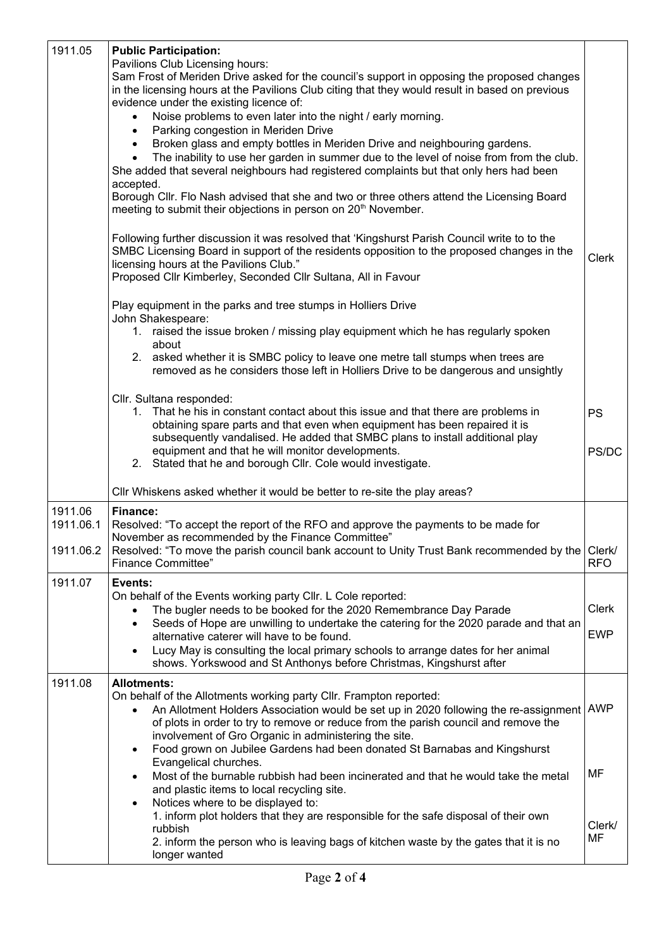| 1911.05                           | <b>Public Participation:</b><br>Pavilions Club Licensing hours:<br>Sam Frost of Meriden Drive asked for the council's support in opposing the proposed changes<br>in the licensing hours at the Pavilions Club citing that they would result in based on previous<br>evidence under the existing licence of:<br>Noise problems to even later into the night / early morning.<br>Parking congestion in Meriden Drive<br>$\bullet$<br>Broken glass and empty bottles in Meriden Drive and neighbouring gardens.<br>$\bullet$<br>The inability to use her garden in summer due to the level of noise from from the club.<br>$\bullet$<br>She added that several neighbours had registered complaints but that only hers had been<br>accepted. |                           |
|-----------------------------------|--------------------------------------------------------------------------------------------------------------------------------------------------------------------------------------------------------------------------------------------------------------------------------------------------------------------------------------------------------------------------------------------------------------------------------------------------------------------------------------------------------------------------------------------------------------------------------------------------------------------------------------------------------------------------------------------------------------------------------------------|---------------------------|
|                                   | Borough Cllr. Flo Nash advised that she and two or three others attend the Licensing Board<br>meeting to submit their objections in person on 20 <sup>th</sup> November.<br>Following further discussion it was resolved that 'Kingshurst Parish Council write to to the<br>SMBC Licensing Board in support of the residents opposition to the proposed changes in the<br>licensing hours at the Pavilions Club."                                                                                                                                                                                                                                                                                                                          | <b>Clerk</b>              |
|                                   | Proposed Cllr Kimberley, Seconded Cllr Sultana, All in Favour<br>Play equipment in the parks and tree stumps in Holliers Drive<br>John Shakespeare:<br>1. raised the issue broken / missing play equipment which he has regularly spoken<br>about<br>asked whether it is SMBC policy to leave one metre tall stumps when trees are<br>2.<br>removed as he considers those left in Holliers Drive to be dangerous and unsightly                                                                                                                                                                                                                                                                                                             |                           |
|                                   | Cllr. Sultana responded:<br>That he his in constant contact about this issue and that there are problems in<br>1.<br>obtaining spare parts and that even when equipment has been repaired it is<br>subsequently vandalised. He added that SMBC plans to install additional play<br>equipment and that he will monitor developments.<br>2. Stated that he and borough Cllr. Cole would investigate.                                                                                                                                                                                                                                                                                                                                         | <b>PS</b><br>PS/DC        |
|                                   | Cllr Whiskens asked whether it would be better to re-site the play areas?                                                                                                                                                                                                                                                                                                                                                                                                                                                                                                                                                                                                                                                                  |                           |
| 1911.06<br>1911.06.1<br>1911.06.2 | <b>Finance:</b><br>Resolved: "To accept the report of the RFO and approve the payments to be made for<br>November as recommended by the Finance Committee"<br>Resolved: "To move the parish council bank account to Unity Trust Bank recommended by the<br><b>Finance Committee"</b>                                                                                                                                                                                                                                                                                                                                                                                                                                                       | Clerk/<br><b>RFO</b>      |
| 1911.07                           | Events:<br>On behalf of the Events working party Cllr. L Cole reported:<br>The bugler needs to be booked for the 2020 Remembrance Day Parade<br>Seeds of Hope are unwilling to undertake the catering for the 2020 parade and that an<br>$\bullet$<br>alternative caterer will have to be found.<br>Lucy May is consulting the local primary schools to arrange dates for her animal<br>$\bullet$<br>shows. Yorkswood and St Anthonys before Christmas, Kingshurst after                                                                                                                                                                                                                                                                   | Clerk<br><b>EWP</b>       |
| 1911.08                           | <b>Allotments:</b><br>On behalf of the Allotments working party Cllr. Frampton reported:<br>An Allotment Holders Association would be set up in 2020 following the re-assignment AWP<br>$\bullet$<br>of plots in order to try to remove or reduce from the parish council and remove the<br>involvement of Gro Organic in administering the site.<br>Food grown on Jubilee Gardens had been donated St Barnabas and Kingshurst<br>$\bullet$                                                                                                                                                                                                                                                                                                |                           |
|                                   | Evangelical churches.<br>Most of the burnable rubbish had been incinerated and that he would take the metal<br>$\bullet$<br>and plastic items to local recycling site.<br>Notices where to be displayed to:<br>$\bullet$<br>1. inform plot holders that they are responsible for the safe disposal of their own<br>rubbish<br>2. inform the person who is leaving bags of kitchen waste by the gates that it is no<br>longer wanted                                                                                                                                                                                                                                                                                                        | <b>MF</b><br>Clerk/<br>MF |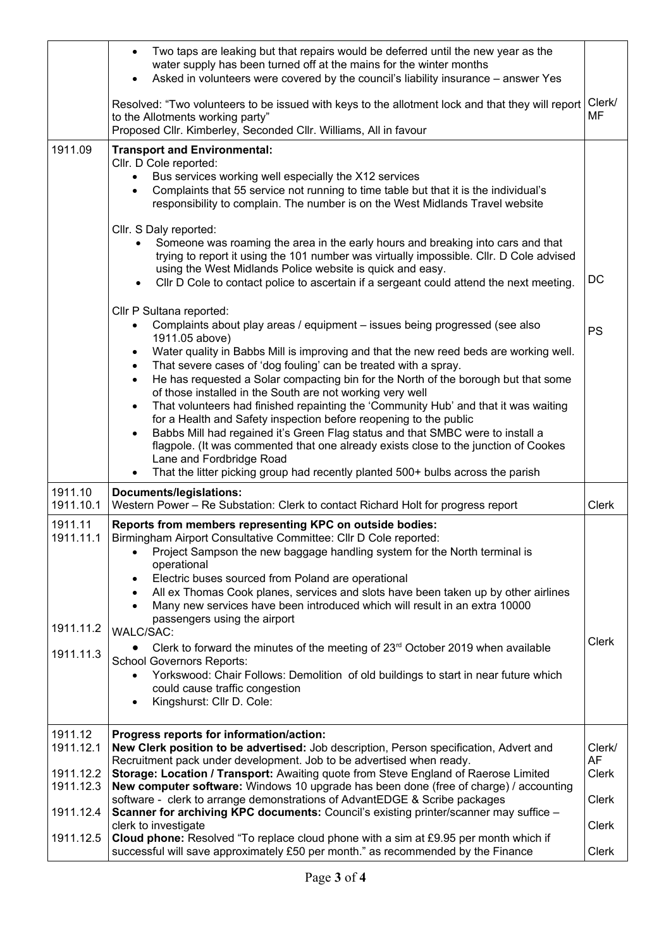|                                                             | Two taps are leaking but that repairs would be deferred until the new year as the<br>$\bullet$<br>water supply has been turned off at the mains for the winter months<br>Asked in volunteers were covered by the council's liability insurance – answer Yes<br>$\bullet$                                                                                                                                                                                                                                                                                                                                                                                                                                                                                                                                                                                                                                                      |                                                              |
|-------------------------------------------------------------|-------------------------------------------------------------------------------------------------------------------------------------------------------------------------------------------------------------------------------------------------------------------------------------------------------------------------------------------------------------------------------------------------------------------------------------------------------------------------------------------------------------------------------------------------------------------------------------------------------------------------------------------------------------------------------------------------------------------------------------------------------------------------------------------------------------------------------------------------------------------------------------------------------------------------------|--------------------------------------------------------------|
|                                                             | Resolved: "Two volunteers to be issued with keys to the allotment lock and that they will report<br>to the Allotments working party"<br>Proposed Cllr. Kimberley, Seconded Cllr. Williams, All in favour                                                                                                                                                                                                                                                                                                                                                                                                                                                                                                                                                                                                                                                                                                                      | Clerk/<br>MF                                                 |
| 1911.09                                                     | <b>Transport and Environmental:</b><br>Cllr. D Cole reported:<br>Bus services working well especially the X12 services<br>$\bullet$<br>Complaints that 55 service not running to time table but that it is the individual's<br>$\bullet$<br>responsibility to complain. The number is on the West Midlands Travel website                                                                                                                                                                                                                                                                                                                                                                                                                                                                                                                                                                                                     |                                                              |
|                                                             | Cllr. S Daly reported:<br>Someone was roaming the area in the early hours and breaking into cars and that<br>trying to report it using the 101 number was virtually impossible. Cllr. D Cole advised<br>using the West Midlands Police website is quick and easy.<br>Cllr D Cole to contact police to ascertain if a sergeant could attend the next meeting.                                                                                                                                                                                                                                                                                                                                                                                                                                                                                                                                                                  | DC                                                           |
|                                                             | Cllr P Sultana reported:<br>Complaints about play areas / equipment - issues being progressed (see also<br>$\bullet$<br>1911.05 above)<br>Water quality in Babbs Mill is improving and that the new reed beds are working well.<br>$\bullet$<br>That severe cases of 'dog fouling' can be treated with a spray.<br>$\bullet$<br>He has requested a Solar compacting bin for the North of the borough but that some<br>$\bullet$<br>of those installed in the South are not working very well<br>That volunteers had finished repainting the 'Community Hub' and that it was waiting<br>$\bullet$<br>for a Health and Safety inspection before reopening to the public<br>Babbs Mill had regained it's Green Flag status and that SMBC were to install a<br>$\bullet$<br>flagpole. (It was commented that one already exists close to the junction of Cookes                                                                   | <b>PS</b>                                                    |
|                                                             | Lane and Fordbridge Road                                                                                                                                                                                                                                                                                                                                                                                                                                                                                                                                                                                                                                                                                                                                                                                                                                                                                                      |                                                              |
| 1911.10                                                     | That the litter picking group had recently planted 500+ bulbs across the parish<br>$\bullet$<br>Documents/legislations:                                                                                                                                                                                                                                                                                                                                                                                                                                                                                                                                                                                                                                                                                                                                                                                                       |                                                              |
| 1911.10.1<br>1911.11<br>1911.11.1<br>1911.11.2<br>1911.11.3 | Western Power - Re Substation: Clerk to contact Richard Holt for progress report<br>Reports from members representing KPC on outside bodies:<br>Birmingham Airport Consultative Committee: Cllr D Cole reported:<br>Project Sampson the new baggage handling system for the North terminal is<br>$\bullet$<br>operational<br>Electric buses sourced from Poland are operational<br>$\bullet$<br>All ex Thomas Cook planes, services and slots have been taken up by other airlines<br>$\bullet$<br>Many new services have been introduced which will result in an extra 10000<br>$\bullet$<br>passengers using the airport<br><b>WALC/SAC:</b><br>Clerk to forward the minutes of the meeting of $23rd$ October 2019 when available<br><b>School Governors Reports:</b><br>Yorkswood: Chair Follows: Demolition of old buildings to start in near future which<br>could cause traffic congestion<br>Kingshurst: Cllr D. Cole: | <b>Clerk</b><br><b>Clerk</b>                                 |
| 1911.12<br>1911.12.1<br>1911.12.2<br>1911.12.3<br>1911.12.4 | Progress reports for information/action:<br>New Clerk position to be advertised: Job description, Person specification, Advert and<br>Recruitment pack under development. Job to be advertised when ready.<br>Storage: Location / Transport: Awaiting quote from Steve England of Raerose Limited<br>New computer software: Windows 10 upgrade has been done (free of charge) / accounting<br>software - clerk to arrange demonstrations of AdvantEDGE & Scribe packages<br>Scanner for archiving KPC documents: Council's existing printer/scanner may suffice -<br>clerk to investigate                                                                                                                                                                                                                                                                                                                                     | Clerk/<br><b>AF</b><br>Clerk<br><b>Clerk</b><br><b>Clerk</b> |